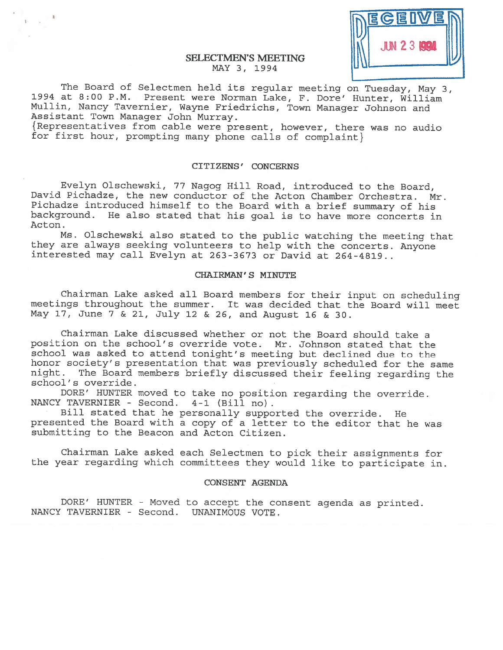

The Board of Selectmen held its regular meeting on Tuesday, May 3, <sup>1994</sup> at 8:00 P.M. Present were Norman Lake, F. Dore' Hunter, William Mullin, Nancy Tavernier, Wayne Friedrichs, Town Manager Johnson and Assistant Town Manager John Murray.

{ Representatives from cable were present, however, there was no audio for first hour, prompting many <sup>p</sup>hone calls of complaint}

# CITIZENS' CONCERNS

Evelyn Olschewski, <sup>77</sup> Nagog Hill Road, introduced to the Board, David Pichadze, the new conductor of the Acton Chamber Orchestra. Mr. Pichadze introduced himself to the Board with <sup>a</sup> brief summary of his background. He also stated that his goa<sup>l</sup> is to have more concerts in Acton.

Ms. Olschewski also stated to the public watching the meeting that they are always seeking volunteers to help with the concerts. Anyone interested may call Evelyn at 263-3673 or David at 264-4819..

# CHAIRMAN' S MINUTE

Chairman Lake asked all Board members for their input on scheduling meetings throughout the summer. It was decided that the Board will meet May 17, June <sup>7</sup> & 21, July <sup>12</sup> & 26, and August <sup>16</sup> & 30.

Chairman Lake discussed whether or not the Board should take <sup>a</sup> position on the school's override vote. Mr. Johnson stated that the school was asked to attend tonight's meeting but declined due to the honor society's presentation that was previously scheduled for the same night. The Board members briefly discussed their feeling regarding the school's override.

DORE' HUNTER moved to take no position regarding the override. NANCY TAVERNIER - Second. 4-1 (Bill no).

Bill stated that he personally supported the override. He presented the Board with <sup>a</sup> copy of <sup>a</sup> letter to the editor that he was submitting to the Beacon and Acton Citizen.

Chairman Lake asked each Selectmen to <sup>p</sup>ick their assignments for the year regarding which committees they would like to participate in.

#### CONSENT AGENDA

DORE' HUNTER - Moved to accept the consent agenda as printed. NANCY TAVERNIER - Second. UNANIMOUS VOTE.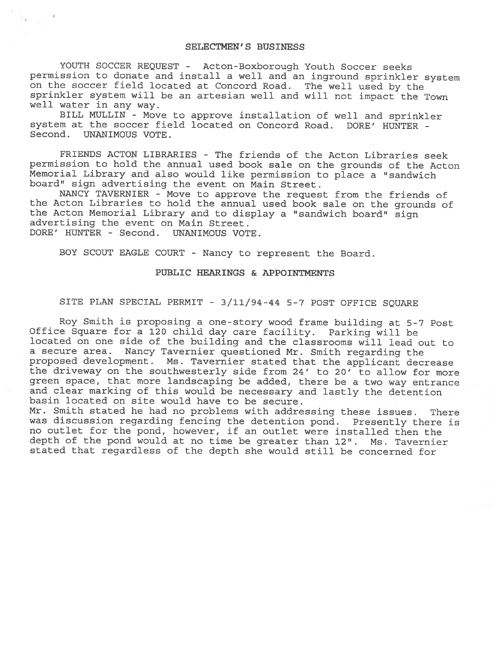# SELECTMEN'S BUSINESS

YOUTH SOCCER REQUEST - Acton-Boxborough Youth Soccer seeks permission to donate and install <sup>a</sup> well and an inground sprinkler system on the soccer field located at Concord Road. The well used by the sprinkler system will be an artesian well and will not impact the Town well water in any way.

BILL MULLIN - Move to approve installation of well and sprinkler system at the soccer field located on Concord Road. DORE' HUNTER - Second. UNANIMOUS VOTE.

FRIENDS ACTON LIBRARIES - The friends of the Acton Libraries seek permission to hold the annual used book sale on the grounds of the Acton Memorial Library and also would like permission to <sup>p</sup>lace <sup>a</sup> "sandwich board" sign advertising the event on Main Street.

NANCY TAVERNIER - Move to approve the request from the friends of the Acton Libraries to hold the annual used book sale on the grounds of the Acton Memorial Library and to display <sup>a</sup> "sandwich board" sign advertising the event on Main Street. DORE' HUNTER - Second. UNANIMOUS VOTE.

BOY SCOUT EAGLE COURT -Nancy to represent the Board.

#### PUBLIC HEARINGS & APPOINTMENTS

# SITE PLAN SPECIAL PERMIT - 3/11/94-44 5-7 POST OFFICE SQUARE

Roy Smith is proposing <sup>a</sup> one-story wood frame building at 5-7 Post Office Square for <sup>a</sup> <sup>120</sup> child day care facility. Parking will be located on one side of the building and the classrooms will lead out to <sup>a</sup> secure area. Nancy Tavernier questioned Mr. Smith regarding the proposed development. Ms. Tavernier stated that the applicant decrease the driveway on the southwesterly side from 24' to 20' to allow for more green space, that more landscaping be added, there be <sup>a</sup> two way entrance and clear marking of this would be necessary and lastly the detention basin located on site would have to be secure.

Mr. Smith stated he had no problems with addressing these issues. There was discussion regarding fencing the detention pond. Presently there is no outlet for the pond, however, if an outlet were installed then the depth of the pond would at no time be greater than 12". Ms. Tavernier stated that regardless of the depth she would still be concerned for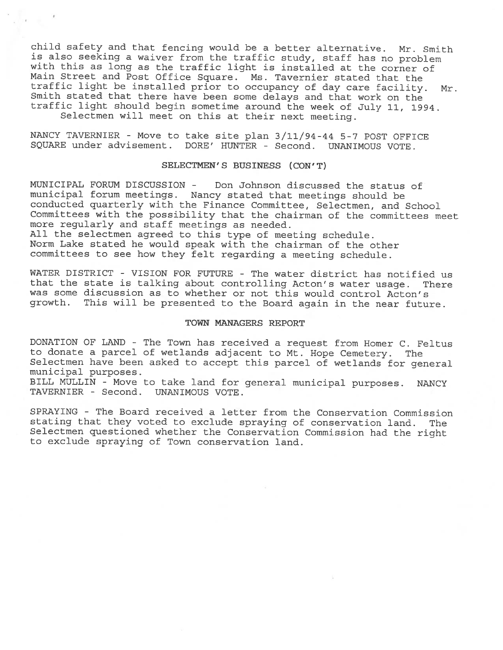child safety and that fencing would be <sup>a</sup> better alternative. Mr. Smith is also seeking <sup>a</sup> waiver from the traffic study, staff has no problem with this as long as the traffic light is installed at the corner of Main Street and Post Office Square. Ms. Tavernier stated that the traffic light be installed prior to occupancy of day care facility. Mr. Smith stated that there have been some delays and that work on the traffic light should begin sometime around the week of July 11, 1994.

Selectmen will meet on this at their next meeting.

NANCY TAVERNIER - Move to take site <sup>p</sup>lan 3/11/94-44 5-7 POST OFFICE SQUARE under advisement. DORE' HUNTER - Second. UNANIMOUS VOTE.

## SELECTMEN'S BUSINESS (CON'T)

MUNICIPAL FORUM DISCUSSION - Don Johnson discussed the status of municipal forum meetings. Nancy stated that meetings should be conducted quarterly with the Finance Committee, Selectmen, and School Committees with the possibility that the chairman of the committees meet more regularly and staff meetings as needed. All the selectmen agreed to this type of meeting schedule. Norm Lake stated he would speak with the chairman of the other committees to see how they felt regarding <sup>a</sup> meeting schedule.

WATER DISTRICT - VISION FOR FUTURE - The water district has notified us that the state is talking about controlling Acton's water usage. There was some discussion as to whether or not this would control Acton's growth. This will be presented to the Board again in the near future.

# TOWN MANAGERS REPORT

DONATION OF LAND - The Town has received <sup>a</sup> request from Homer C. Feltus to donate <sup>a</sup> parcel of wetlands adjacent to Mt. Hope Cemetery. The Selectmen have been asked to accept this parcel of wetlands for general municipal purposes.

BILL MULLIN - Move to take land for general municipal purposes. NANCY TAVERNIER - Second. UNANIMOUS VOTE.

SPRAYING - The Board received <sup>a</sup> letter from the Conservation Commission stating that they voted to exclude spraying of conservation land. The Selectmen questioned whether the Conservation Commission had the right to exclude spraying of Town conservation land.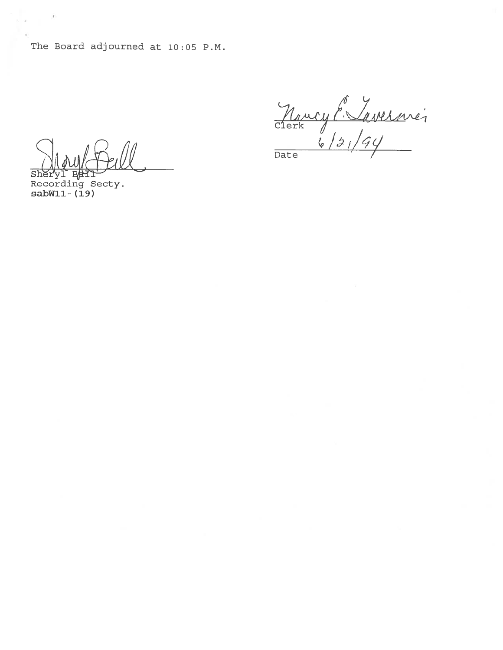The Board adjourned at 10:05 P.M.

 $\overline{\text{Sh}}$ 

Recording Secty.  $sabW11 - (19)$ 

 $\overline{\phantom{a}}$ 

ä,

Maucy P. Lavernier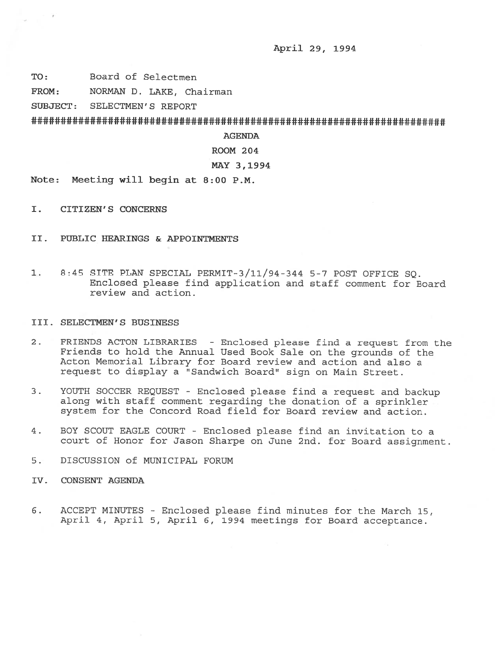April 29, 1994

TO: Board of Selectmen

FROM: NORMAN D. LAKE, Chairman

SUBJECT: SELECTMEN'S REPORT

AGENDA

ROOM 204

#### MAY 3,1994

Note: Meeting will begin at 8:00 P.M.

- I. CITIZEN'S CONCERNS
- II. PUBLIC HEARINGS & APPOINTMENTS
- 1. 8:45 SITE PLAN SPECIAL PERMIT-3/ll/94-344 5-7 POST OFFICE SQ. Enclosed please find application and staff comment for Board review and action.

#### III. SELECTMEN'S BUSINESS

- 2. FRIENDS ACTON LIBRARIES Enclosed <sup>p</sup>lease find <sup>a</sup> reques<sup>t</sup> from the Friends to hold the Annual Used Book Sale on the grounds of the Acton Memorial Library for Board review and action and also <sup>a</sup> reques<sup>t</sup> to display <sup>a</sup> "Sandwich Board" sign on Main Street.
- 3. YOUTH SOCCER REQUEST -Enclosed <sup>p</sup>lease find <sup>a</sup> reques<sup>t</sup> and backup along with staff comment regarding the donation of <sup>a</sup> sprinkler system for the Concord Road field for Board review and action.
- 4. BOY SCOUT EAGLE COURT Enclosed please find an invitation to <sup>a</sup> court of Honor for Jason Sharpe on June 2nd. for Board assignment.
- 5. DISCUSSION of MUNICIPAL FORUM
- IV. CONSENT AGENDA
- 6. ACCEPT MINUTES -Enclosed please find minutes for the March 15, April 4, April 5, April 6, <sup>1994</sup> meetings for Board acceptance.